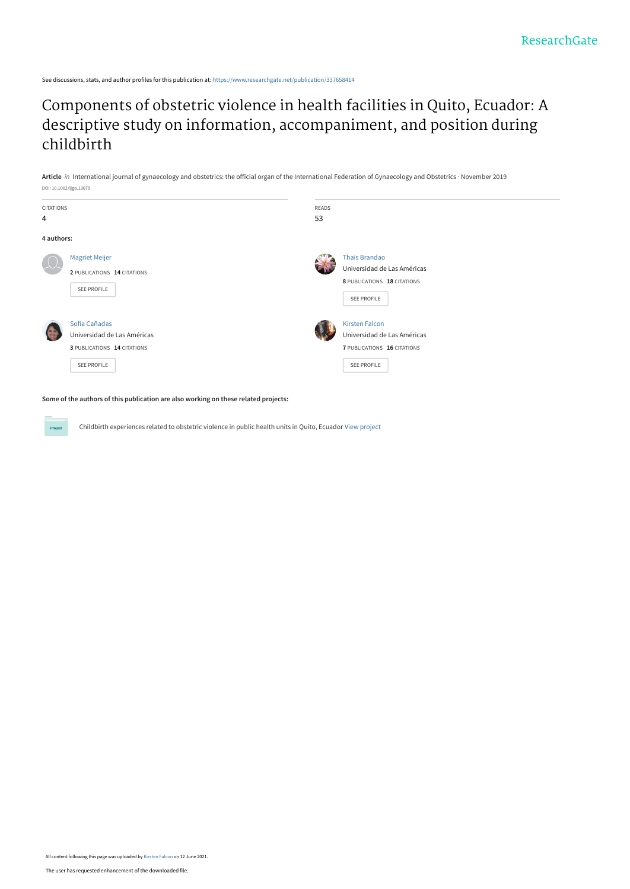See discussions, stats, and author profiles for this publication at: [https://www.researchgate.net/publication/337658414](https://www.researchgate.net/publication/337658414_Components_of_obstetric_violence_in_health_facilities_in_Quito_Ecuador_A_descriptive_study_on_information_accompaniment_and_position_during_childbirth?enrichId=rgreq-b1f5367fc526c3bb10bc2fad6871bb82-XXX&enrichSource=Y292ZXJQYWdlOzMzNzY1ODQxNDtBUzoxMDM0MDE2Mjc4OTk0OTQ1QDE2MjM1NDAxMDA0Njk%3D&el=1_x_2&_esc=publicationCoverPdf)

# [Components of obstetric violence in health facilities in Quito, Ecuador: A](https://www.researchgate.net/publication/337658414_Components_of_obstetric_violence_in_health_facilities_in_Quito_Ecuador_A_descriptive_study_on_information_accompaniment_and_position_during_childbirth?enrichId=rgreq-b1f5367fc526c3bb10bc2fad6871bb82-XXX&enrichSource=Y292ZXJQYWdlOzMzNzY1ODQxNDtBUzoxMDM0MDE2Mjc4OTk0OTQ1QDE2MjM1NDAxMDA0Njk%3D&el=1_x_3&_esc=publicationCoverPdf) descriptive study on information, accompaniment, and position during childbirth

**Article** in International journal of gynaecology and obstetrics: the official organ of the International Federation of Gynaecology and Obstetrics · November 2019 DOI: 10.1002/ijgo.13075



**Some of the authors of this publication are also working on these related projects:**

Project

Childbirth experiences related to obstetric violence in public health units in Quito, Ecuador [View project](https://www.researchgate.net/project/Childbirth-experiences-related-to-obstetric-violence-in-public-health-units-in-Quito-Ecuador?enrichId=rgreq-b1f5367fc526c3bb10bc2fad6871bb82-XXX&enrichSource=Y292ZXJQYWdlOzMzNzY1ODQxNDtBUzoxMDM0MDE2Mjc4OTk0OTQ1QDE2MjM1NDAxMDA0Njk%3D&el=1_x_9&_esc=publicationCoverPdf)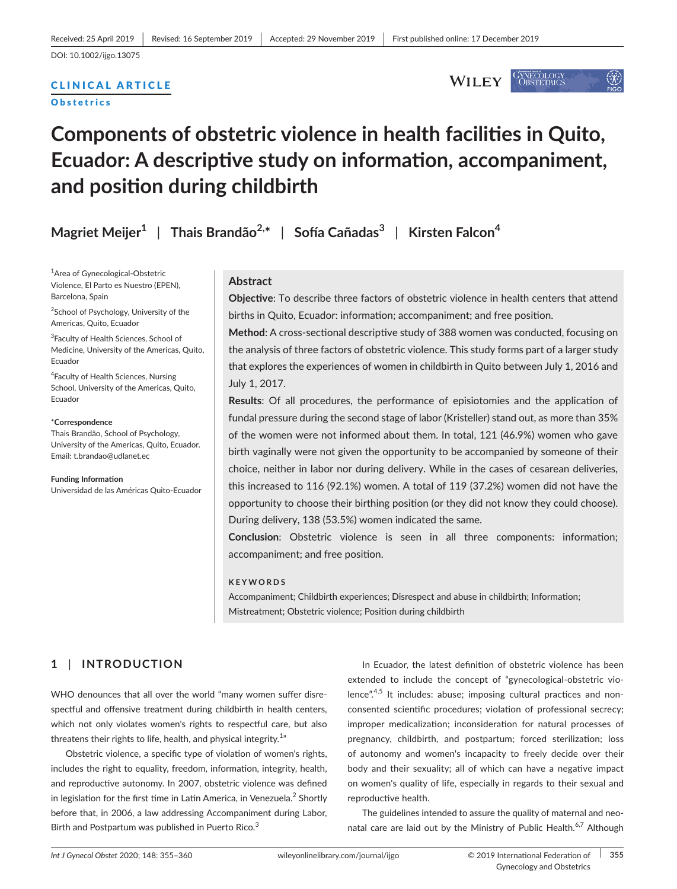# CLINICAL ARTICLE

**Obstetrics** 

#### GYNECOLOGY<br>OBSTETRICS **WILEY**

# $\langle \chi \rangle$

# **Components of obstetric violence in health facilities in Quito, Ecuador: A descriptive study on information, accompaniment, and position during childbirth**

|  | Magriet Meijer <sup>1</sup>   Thais Brandão <sup>2,*</sup>   Sofía Cañadas <sup>3</sup>   Kirsten Falcon <sup>4</sup> |  |  |
|--|-----------------------------------------------------------------------------------------------------------------------|--|--|
|--|-----------------------------------------------------------------------------------------------------------------------|--|--|

1 Area of Gynecological-Obstetric Violence, El Parto es Nuestro (EPEN), Barcelona, Spain

<sup>2</sup>School of Psychology, University of the Americas, Quito, Ecuador

<sup>3</sup>Faculty of Health Sciences, School of Medicine, University of the Americas, Quito, Ecuador

4 Faculty of Health Sciences, Nursing School, University of the Americas, Quito, Ecuador

#### \***Correspondence**

Thais Brandão, School of Psychology, University of the Americas, Quito, Ecuador. Email: t.brandao@udlanet.ec

**Funding Information** Universidad de las Américas Quito-Ecuador

#### **Abstract**

**Objective**: To describe three factors of obstetric violence in health centers that attend births in Quito, Ecuador: information; accompaniment; and free position.

**Method**: A cross-sectional descriptive study of 388 women was conducted, focusing on the analysis of three factors of obstetric violence. This study forms part of a larger study that explores the experiences of women in childbirth in Quito between July 1, 2016 and July 1, 2017.

**Results**: Of all procedures, the performance of episiotomies and the application of fundal pressure during the second stage of labor (Kristeller) stand out, as more than 35% of the women were not informed about them. In total, 121 (46.9%) women who gave birth vaginally were not given the opportunity to be accompanied by someone of their choice, neither in labor nor during delivery. While in the cases of cesarean deliveries, this increased to 116 (92.1%) women. A total of 119 (37.2%) women did not have the opportunity to choose their birthing position (or they did not know they could choose). During delivery, 138 (53.5%) women indicated the same.

**Conclusion**: Obstetric violence is seen in all three components: information; accompaniment; and free position.

#### **KEYWORDS**

Accompaniment; Childbirth experiences; Disrespect and abuse in childbirth; Information; Mistreatment; Obstetric violence; Position during childbirth

## **1** | **INTRODUCTION**

WHO denounces that all over the world "many women suffer disrespectful and offensive treatment during childbirth in health centers, which not only violates women's rights to respectful care, but also threatens their rights to life, health, and physical integrity. $^{1\prime\prime}$ 

Obstetric violence, a specific type of violation of women's rights, includes the right to equality, freedom, information, integrity, health, and reproductive autonomy. In 2007, obstetric violence was defined in legislation for the first time in Latin America, in Venezuela.<sup>2</sup> Shortly before that, in 2006, a law addressing Accompaniment during Labor, Birth and Postpartum was published in Puerto Rico.<sup>3</sup>

In Ecuador, the latest definition of obstetric violence has been extended to include the concept of "gynecological-obstetric violence".<sup>4,5</sup> It includes: abuse; imposing cultural practices and nonconsented scientific procedures; violation of professional secrecy; improper medicalization; inconsideration for natural processes of pregnancy, childbirth, and postpartum; forced sterilization; loss of autonomy and women's incapacity to freely decide over their body and their sexuality; all of which can have a negative impact on women's quality of life, especially in regards to their sexual and reproductive health.

The guidelines intended to assure the quality of maternal and neonatal care are laid out by the Ministry of Public Health.<sup>6,7</sup> Although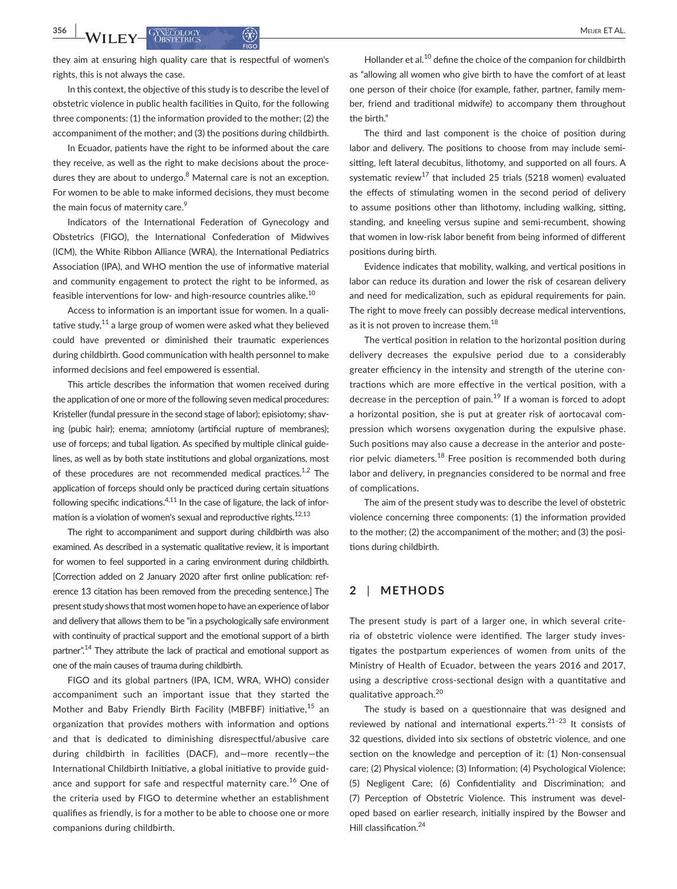they aim at ensuring high quality care that is respectful of women's rights, this is not always the case.

In this context, the objective of this study is to describe the level of obstetric violence in public health facilities in Quito, for the following three components: (1) the information provided to the mother; (2) the accompaniment of the mother; and (3) the positions during childbirth.

In Ecuador, patients have the right to be informed about the care they receive, as well as the right to make decisions about the procedures they are about to undergo.<sup>8</sup> Maternal care is not an exception. For women to be able to make informed decisions, they must become the main focus of maternity care.<sup>9</sup>

Indicators of the International Federation of Gynecology and Obstetrics (FIGO), the International Confederation of Midwives (ICM), the White Ribbon Alliance (WRA), the International Pediatrics Association (IPA), and WHO mention the use of informative material and community engagement to protect the right to be informed, as feasible interventions for low- and high-resource countries alike.<sup>10</sup>

Access to information is an important issue for women. In a qualitative study, $^{11}$  a large group of women were asked what they believed could have prevented or diminished their traumatic experiences during childbirth. Good communication with health personnel to make informed decisions and feel empowered is essential.

This article describes the information that women received during the application of one or more of the following seven medical procedures: Kristeller (fundal pressure in the second stage of labor); episiotomy; shaving (pubic hair); enema; amniotomy (artificial rupture of membranes); use of forceps; and tubal ligation. As specified by multiple clinical guidelines, as well as by both state institutions and global organizations, most of these procedures are not recommended medical practices.<sup>1,2</sup> The application of forceps should only be practiced during certain situations following specific indications. $4,11$  In the case of ligature, the lack of information is a violation of women's sexual and reproductive rights. $^{12,13}$ 

The right to accompaniment and support during childbirth was also examined. As described in a systematic qualitative review, it is important for women to feel supported in a caring environment during childbirth. [Correction added on 2 January 2020 after first online publication: reference 13 citation has been removed from the preceding sentence.] The present study shows that most women hope to have an experience of labor and delivery that allows them to be "in a psychologically safe environment with continuity of practical support and the emotional support of a birth partner".<sup>14</sup> They attribute the lack of practical and emotional support as one of the main causes of trauma during childbirth.

FIGO and its global partners (IPA, ICM, WRA, WHO) consider accompaniment such an important issue that they started the Mother and Baby Friendly Birth Facility (MBFBF) initiative,<sup>15</sup> an organization that provides mothers with information and options and that is dedicated to diminishing disrespectful/abusive care during childbirth in facilities (DACF), and—more recently—the International Childbirth Initiative, a global initiative to provide guidance and support for safe and respectful maternity care.<sup>16</sup> One of the criteria used by FIGO to determine whether an establishment qualifies as friendly, is for a mother to be able to choose one or more companions during childbirth.

Hollander et al.<sup>10</sup> define the choice of the companion for childbirth as "allowing all women who give birth to have the comfort of at least one person of their choice (for example, father, partner, family member, friend and traditional midwife) to accompany them throughout the birth."

The third and last component is the choice of position during labor and delivery. The positions to choose from may include semisitting, left lateral decubitus, lithotomy, and supported on all fours. A systematic review<sup>17</sup> that included 25 trials (5218 women) evaluated the effects of stimulating women in the second period of delivery to assume positions other than lithotomy, including walking, sitting, standing, and kneeling versus supine and semi-recumbent, showing that women in low-risk labor benefit from being informed of different positions during birth.

Evidence indicates that mobility, walking, and vertical positions in labor can reduce its duration and lower the risk of cesarean delivery and need for medicalization, such as epidural requirements for pain. The right to move freely can possibly decrease medical interventions, as it is not proven to increase them. $^{18}$ 

The vertical position in relation to the horizontal position during delivery decreases the expulsive period due to a considerably greater efficiency in the intensity and strength of the uterine contractions which are more effective in the vertical position, with a decrease in the perception of pain.<sup>19</sup> If a woman is forced to adopt a horizontal position, she is put at greater risk of aortocaval compression which worsens oxygenation during the expulsive phase. Such positions may also cause a decrease in the anterior and posterior pelvic diameters.<sup>18</sup> Free position is recommended both during labor and delivery, in pregnancies considered to be normal and free of complications.

The aim of the present study was to describe the level of obstetric violence concerning three components: (1) the information provided to the mother; (2) the accompaniment of the mother; and (3) the positions during childbirth.

### **2** | **METHODS**

The present study is part of a larger one, in which several criteria of obstetric violence were identified. The larger study investigates the postpartum experiences of women from units of the Ministry of Health of Ecuador, between the years 2016 and 2017, using a descriptive cross-sectional design with a quantitative and qualitative approach.<sup>20</sup>

The study is based on a questionnaire that was designed and reviewed by national and international experts. $21-23$  It consists of 32 questions, divided into six sections of obstetric violence, and one section on the knowledge and perception of it: (1) Non-consensual care; (2) Physical violence; (3) Information; (4) Psychological Violence; (5) Negligent Care; (6) Confidentiality and Discrimination; and (7) Perception of Obstetric Violence. This instrument was developed based on earlier research, initially inspired by the Bowser and Hill classification.<sup>24</sup>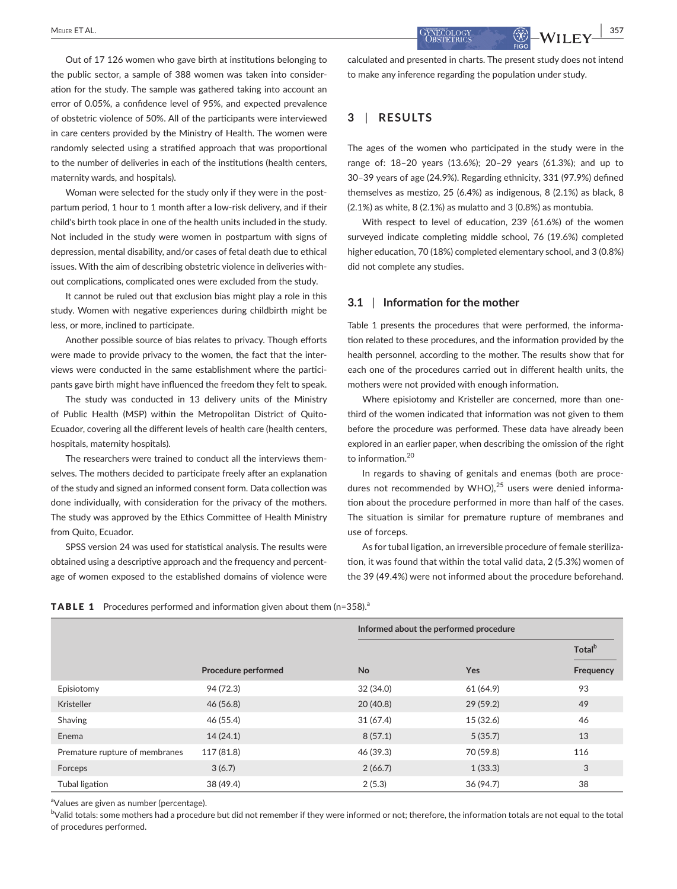Out of 17 126 women who gave birth at institutions belonging to the public sector, a sample of 388 women was taken into consideration for the study. The sample was gathered taking into account an error of 0.05%, a confidence level of 95%, and expected prevalence of obstetric violence of 50%. All of the participants were interviewed in care centers provided by the Ministry of Health. The women were randomly selected using a stratified approach that was proportional to the number of deliveries in each of the institutions (health centers, maternity wards, and hospitals).

Woman were selected for the study only if they were in the postpartum period, 1 hour to 1 month after a low-risk delivery, and if their child's birth took place in one of the health units included in the study. Not included in the study were women in postpartum with signs of depression, mental disability, and/or cases of fetal death due to ethical issues. With the aim of describing obstetric violence in deliveries without complications, complicated ones were excluded from the study.

It cannot be ruled out that exclusion bias might play a role in this study. Women with negative experiences during childbirth might be less, or more, inclined to participate.

Another possible source of bias relates to privacy. Though efforts were made to provide privacy to the women, the fact that the interviews were conducted in the same establishment where the participants gave birth might have influenced the freedom they felt to speak.

The study was conducted in 13 delivery units of the Ministry of Public Health (MSP) within the Metropolitan District of Quito-Ecuador, covering all the different levels of health care (health centers, hospitals, maternity hospitals).

The researchers were trained to conduct all the interviews themselves. The mothers decided to participate freely after an explanation of the study and signed an informed consent form. Data collection was done individually, with consideration for the privacy of the mothers. The study was approved by the Ethics Committee of Health Ministry from Quito, Ecuador.

SPSS version 24 was used for statistical analysis. The results were obtained using a descriptive approach and the frequency and percentage of women exposed to the established domains of violence were calculated and presented in charts. The present study does not intend to make any inference regarding the population under study.

## **3** | **RESULTS**

The ages of the women who participated in the study were in the range of: 18–20 years (13.6%); 20–29 years (61.3%); and up to 30–39 years of age (24.9%). Regarding ethnicity, 331 (97.9%) defined themselves as mestizo, 25 (6.4%) as indigenous, 8 (2.1%) as black, 8 (2.1%) as white, 8 (2.1%) as mulatto and 3 (0.8%) as montubia.

With respect to level of education, 239 (61.6%) of the women surveyed indicate completing middle school, 76 (19.6%) completed higher education, 70 (18%) completed elementary school, and 3 (0.8%) did not complete any studies.

#### **3.1** | **Information for the mother**

Table 1 presents the procedures that were performed, the information related to these procedures, and the information provided by the health personnel, according to the mother. The results show that for each one of the procedures carried out in different health units, the mothers were not provided with enough information.

Where episiotomy and Kristeller are concerned, more than onethird of the women indicated that information was not given to them before the procedure was performed. These data have already been explored in an earlier paper, when describing the omission of the right to information.<sup>20</sup>

In regards to shaving of genitals and enemas (both are procedures not recommended by WHO), $25$  users were denied information about the procedure performed in more than half of the cases. The situation is similar for premature rupture of membranes and use of forceps.

As for tubal ligation, an irreversible procedure of female sterilization, it was found that within the total valid data, 2 (5.3%) women of the 39 (49.4%) were not informed about the procedure beforehand.

|  | <b>TABLE 1</b> Procedures performed and information given about them $(n=358)$ . <sup>a</sup> |  |  |  |  |  |  |  |  |
|--|-----------------------------------------------------------------------------------------------|--|--|--|--|--|--|--|--|
|--|-----------------------------------------------------------------------------------------------|--|--|--|--|--|--|--|--|

|                                |                     |           | Informed about the performed procedure |           |  |
|--------------------------------|---------------------|-----------|----------------------------------------|-----------|--|
|                                |                     |           |                                        |           |  |
|                                | Procedure performed | <b>No</b> | Yes                                    | Frequency |  |
| Episiotomy                     | 94 (72.3)           | 32(34.0)  | 61 (64.9)                              | 93        |  |
| Kristeller                     | 46(56.8)            | 20(40.8)  | 29(59.2)                               | 49        |  |
| Shaving                        | 46 (55.4)           | 31(67.4)  | 15 (32.6)                              | 46        |  |
| Enema                          | 14(24.1)            | 8(57.1)   | 5(35.7)                                | 13        |  |
| Premature rupture of membranes | 117 (81.8)          | 46 (39.3) | 70 (59.8)                              | 116       |  |
| Forceps                        | 3(6.7)              | 2(66.7)   | 1(33.3)                                | 3         |  |
| Tubal ligation                 | 38 (49.4)           | 2(5.3)    | 36(94.7)                               | 38        |  |

<sup>a</sup>Values are given as number (percentage).

 $^{\rm b}$ Valid totals: some mothers had a procedure but did not remember if they were informed or not; therefore, the information totals are not equal to the total of procedures performed.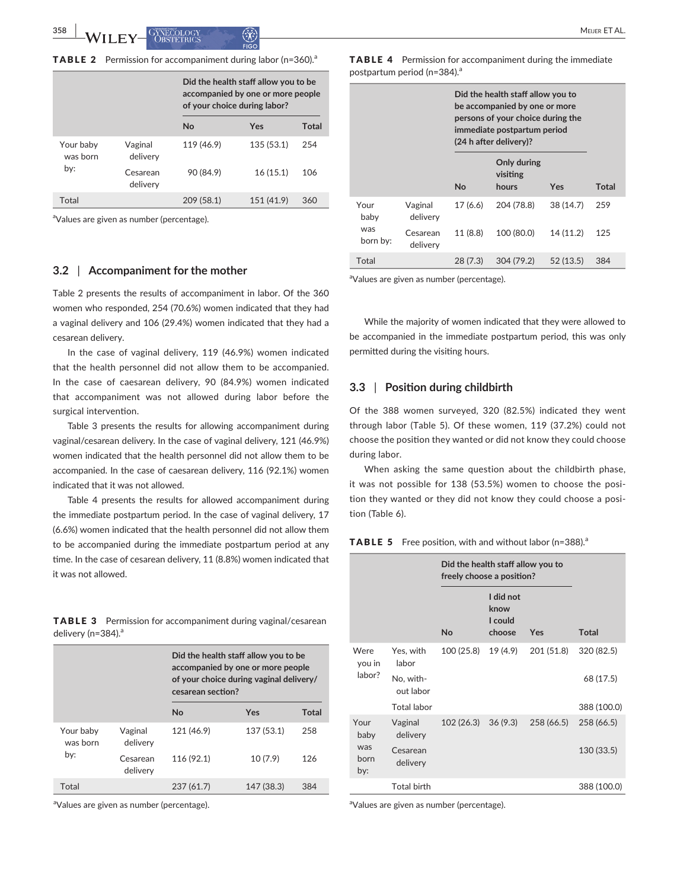|  |  |  | TABLE 2 Permission for accompaniment during labor (n=360). <sup>a</sup> |
|--|--|--|-------------------------------------------------------------------------|
|--|--|--|-------------------------------------------------------------------------|

|                              |                      | Did the health staff allow you to be<br>accompanied by one or more people<br>of your choice during labor? |            |       |  |
|------------------------------|----------------------|-----------------------------------------------------------------------------------------------------------|------------|-------|--|
|                              |                      | No                                                                                                        | Yes        | Total |  |
| Your baby<br>was born<br>by: | Vaginal<br>delivery  | 119 (46.9)                                                                                                | 135 (53.1) | 254   |  |
|                              | Cesarean<br>delivery | 90 (84.9)                                                                                                 | 16(15.1)   | 106   |  |
| Total                        |                      | 209 (58.1)                                                                                                | 151 (41.9) | 360   |  |

<sup>a</sup>Values are given as number (percentage).

#### **3.2** | **Accompaniment for the mother**

Table 2 presents the results of accompaniment in labor. Of the 360 women who responded, 254 (70.6%) women indicated that they had a vaginal delivery and 106 (29.4%) women indicated that they had a cesarean delivery.

In the case of vaginal delivery, 119 (46.9%) women indicated that the health personnel did not allow them to be accompanied. In the case of caesarean delivery, 90 (84.9%) women indicated that accompaniment was not allowed during labor before the surgical intervention.

Table 3 presents the results for allowing accompaniment during vaginal/cesarean delivery. In the case of vaginal delivery, 121 (46.9%) women indicated that the health personnel did not allow them to be accompanied. In the case of caesarean delivery, 116 (92.1%) women indicated that it was not allowed.

Table 4 presents the results for allowed accompaniment during the immediate postpartum period. In the case of vaginal delivery, 17 (6.6%) women indicated that the health personnel did not allow them to be accompanied during the immediate postpartum period at any time. In the case of cesarean delivery, 11 (8.8%) women indicated that it was not allowed.

TABLE 3 Permission for accompaniment during vaginal/cesarean delivery ( $n=384$ ).<sup>a</sup>

|                              |                      | Did the health staff allow you to be<br>accompanied by one or more people<br>of your choice during vaginal delivery/<br>cesarean section? |            |       |  |
|------------------------------|----------------------|-------------------------------------------------------------------------------------------------------------------------------------------|------------|-------|--|
|                              |                      | <b>No</b>                                                                                                                                 | Yes        | Total |  |
| Your baby<br>was born<br>by: | Vaginal<br>delivery  | 121 (46.9)                                                                                                                                | 137 (53.1) | 258   |  |
|                              | Cesarean<br>delivery | 116 (92.1)                                                                                                                                | 10(7.9)    | 126   |  |
| Total                        |                      | 237(61.7)                                                                                                                                 | 147 (38.3) | 384   |  |

<sup>a</sup>Values are given as number (percentage).

TABLE 4 Permission for accompaniment during the immediate postpartum period (n=384).<sup>a</sup>

|                 |                      | Did the health staff allow you to<br>be accompanied by one or more<br>persons of your choice during the<br>immediate postpartum period<br>(24 h after delivery)? |                                  |           |              |
|-----------------|----------------------|------------------------------------------------------------------------------------------------------------------------------------------------------------------|----------------------------------|-----------|--------------|
|                 |                      | No                                                                                                                                                               | Only during<br>visiting<br>hours | Yes       | <b>Total</b> |
| Your<br>baby    | Vaginal<br>delivery  | 17(6.6)                                                                                                                                                          | 204 (78.8)                       | 38 (14.7) | 259          |
| was<br>born by: | Cesarean<br>delivery | 11 (8.8)                                                                                                                                                         | 100 (80.0)                       | 14 (11.2) | 125          |
| Total           |                      | 28 (7.3)                                                                                                                                                         | 304 (79.2)                       | 52(13.5)  | 384          |

<sup>a</sup>Values are given as number (percentage).

While the majority of women indicated that they were allowed to be accompanied in the immediate postpartum period, this was only permitted during the visiting hours.

#### **3.3** | **Position during childbirth**

Of the 388 women surveyed, 320 (82.5%) indicated they went through labor (Table 5). Of these women, 119 (37.2%) could not choose the position they wanted or did not know they could choose during labor.

When asking the same question about the childbirth phase, it was not possible for 138 (53.5%) women to choose the position they wanted or they did not know they could choose a position (Table 6).

#### **TABLE 5** Free position, with and without labor (n=388). $^{\circ}$

|                          |                        | Did the health staff allow you to<br>freely choose a position? |                                        |            |              |
|--------------------------|------------------------|----------------------------------------------------------------|----------------------------------------|------------|--------------|
|                          |                        | No                                                             | I did not<br>know<br>I could<br>choose | <b>Yes</b> | <b>Total</b> |
| Were<br>you in<br>labor? | Yes, with<br>labor     | 100 (25.8)                                                     | 19 (4.9)                               | 201 (51.8) | 320 (82.5)   |
|                          | No, with-<br>out labor |                                                                |                                        |            | 68 (17.5)    |
|                          | Total labor            |                                                                |                                        |            | 388 (100.0)  |
| Your<br>baby             | Vaginal<br>delivery    | 102(26.3)                                                      | 36(9.3)                                | 258 (66.5) | 258 (66.5)   |
| was<br>born<br>by:       | Cesarean<br>delivery   |                                                                |                                        |            | 130 (33.5)   |
|                          | <b>Total birth</b>     |                                                                |                                        |            | 388 (100.0)  |

<sup>a</sup>Values are given as number (percentage).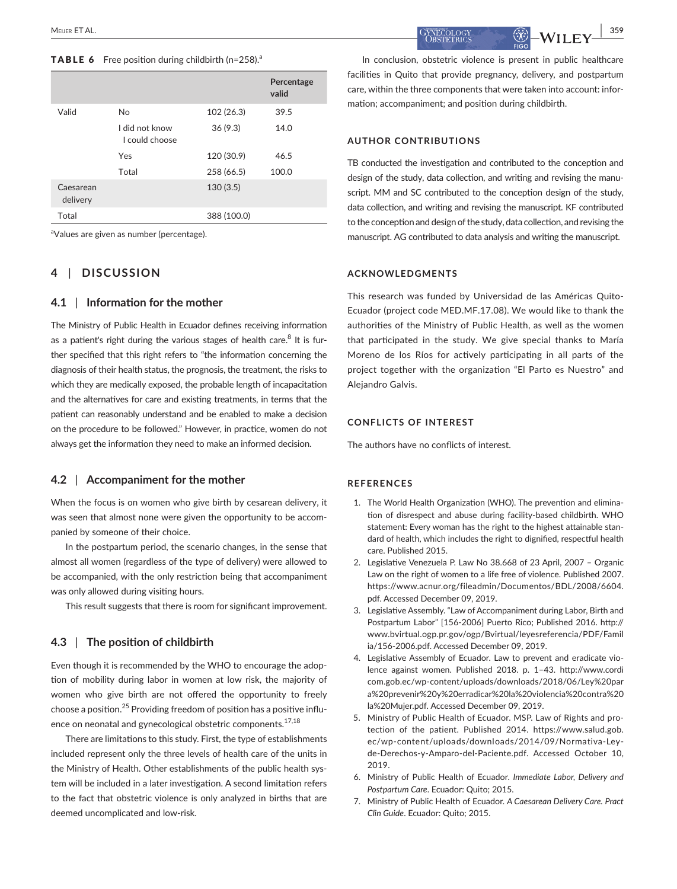#### **TABLE 6** Free position during childbirth ( $n=258$ ).<sup>a</sup>

|                       |                                 |             | Percentage<br>valid |
|-----------------------|---------------------------------|-------------|---------------------|
| Valid                 | <b>No</b>                       | 102 (26.3)  | 39.5                |
|                       | I did not know<br>Lcould choose | 36(9.3)     | 14.0                |
|                       | Yes                             | 120 (30.9)  | 46.5                |
|                       | Total                           | 258 (66.5)  | 100.0               |
| Caesarean<br>delivery |                                 | 130(3.5)    |                     |
| Total                 |                                 | 388 (100.0) |                     |

<sup>a</sup>Values are given as number (percentage).

## **4** | **DISCUSSION**

#### **4.1** | **Information for the mother**

The Ministry of Public Health in Ecuador defines receiving information as a patient's right during the various stages of health care. $8$  It is further specified that this right refers to "the information concerning the diagnosis of their health status, the prognosis, the treatment, the risks to which they are medically exposed, the probable length of incapacitation and the alternatives for care and existing treatments, in terms that the patient can reasonably understand and be enabled to make a decision on the procedure to be followed." However, in practice, women do not always get the information they need to make an informed decision.

#### **4.2** | **Accompaniment for the mother**

When the focus is on women who give birth by cesarean delivery, it was seen that almost none were given the opportunity to be accompanied by someone of their choice.

In the postpartum period, the scenario changes, in the sense that almost all women (regardless of the type of delivery) were allowed to be accompanied, with the only restriction being that accompaniment was only allowed during visiting hours.

This result suggests that there is room for significant improvement.

#### **4.3** | **The position of childbirth**

Even though it is recommended by the WHO to encourage the adoption of mobility during labor in women at low risk, the majority of women who give birth are not offered the opportunity to freely choose a position.<sup>25</sup> Providing freedom of position has a positive influence on neonatal and gynecological obstetric components.<sup>17,18</sup>

There are limitations to this study. First, the type of establishments included represent only the three levels of health care of the units in the Ministry of Health. Other establishments of the public health system will be included in a later investigation. A second limitation refers to the fact that obstetric violence is only analyzed in births that are deemed uncomplicated and low-risk.

 **MEDER ET AL. 1959**  $\frac{1}{259}$  **1999**  $\frac{1}{259}$   $\frac{1}{259}$   $\frac{1}{259}$   $\frac{1}{259}$   $\frac{1}{259}$   $\frac{1}{259}$   $\frac{1}{259}$   $\frac{1}{259}$   $\frac{1}{259}$   $\frac{1}{259}$   $\frac{1}{259}$   **\frac{1}{259}** 

In conclusion, obstetric violence is present in public healthcare facilities in Quito that provide pregnancy, delivery, and postpartum care, within the three components that were taken into account: information; accompaniment; and position during childbirth.

#### **AUTHOR CONTRIBUTIONS**

TB conducted the investigation and contributed to the conception and design of the study, data collection, and writing and revising the manuscript. MM and SC contributed to the conception design of the study, data collection, and writing and revising the manuscript. KF contributed to the conception and design of the study, data collection, and revising the manuscript. AG contributed to data analysis and writing the manuscript.

#### **ACKNOWLEDGMENTS**

This research was funded by Universidad de las Américas Quito-Ecuador (project code MED.MF.17.08). We would like to thank the authorities of the Ministry of Public Health, as well as the women that participated in the study. We give special thanks to María Moreno de los Ríos for actively participating in all parts of the project together with the organization "El Parto es Nuestro" and Alejandro Galvis.

#### **CONFLICTS OF INTEREST**

The authors have no conflicts of interest.

#### **REFERENCES**

- 1. The World Health Organization (WHO). The prevention and elimination of disrespect and abuse during facility-based childbirth. WHO statement: Every woman has the right to the highest attainable standard of health, which includes the right to dignified, respectful health care. Published 2015.
- 2. Legislative Venezuela P. Law No 38.668 of 23 April, 2007 Organic Law on the right of women to a life free of violence. Published 2007. https://www.acnur.org/fileadmin/Documentos/BDL/2008/6604. pdf. Accessed December 09, 2019.
- 3. Legislative Assembly. "Law of Accompaniment during Labor, Birth and Postpartum Labor" [156-2006] Puerto Rico; Published 2016. http:// www.bvirtual.ogp.pr.gov/ogp/Bvirtual/leyesreferencia/PDF/Famil ia/156-2006.pdf. Accessed December 09, 2019.
- 4. Legislative Assembly of Ecuador. Law to prevent and eradicate violence against women. Published 2018. p. 1–43. http://www.cordi com.gob.ec/wp-content/uploads/downloads/2018/06/Ley%20par a%20prevenir%20y%20erradicar%20la%20violencia%20contra%20 la%20Mujer.pdf. Accessed December 09, 2019.
- 5. Ministry of Public Health of Ecuador. MSP. Law of Rights and protection of the patient. Published 2014. https://www.salud.gob. ec/wp-content/uploads/downloads/2014/09/Normativa-Leyde-Derechos-y-Amparo-del-Paciente.pdf. Accessed October 10, 2019.
- 6. Ministry of Public Health of Ecuador. *Immediate Labor, Delivery and Postpartum Care*. Ecuador: Quito; 2015.
- 7. Ministry of Public Health of Ecuador. *A Caesarean Delivery Care. Pract Clin Guide*. Ecuador: Quito; 2015.